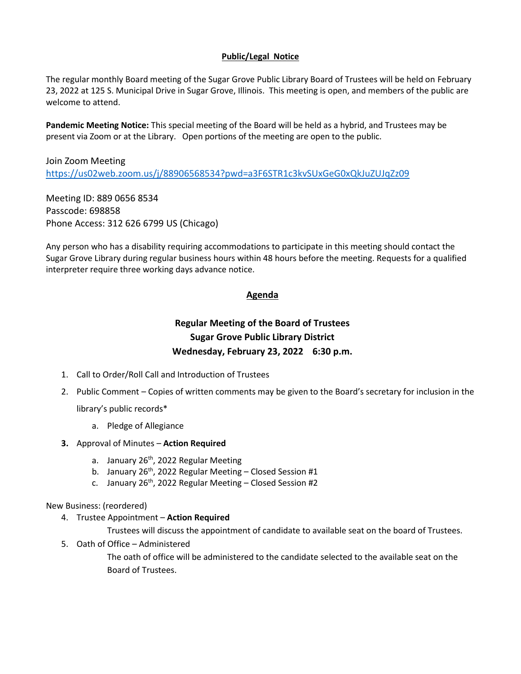# **Public/Legal Notice**

The regular monthly Board meeting of the Sugar Grove Public Library Board of Trustees will be held on February 23, 2022 at 125 S. Municipal Drive in Sugar Grove, Illinois. This meeting is open, and members of the public are welcome to attend.

**Pandemic Meeting Notice:** This special meeting of the Board will be held as a hybrid, and Trustees may be present via Zoom or at the Library. Open portions of the meeting are open to the public.

Join Zoom Meeting <https://us02web.zoom.us/j/88906568534?pwd=a3F6STR1c3kvSUxGeG0xQkJuZUJqZz09>

Meeting ID: 889 0656 8534 Passcode: 698858 Phone Access: 312 626 6799 US (Chicago)

Any person who has a disability requiring accommodations to participate in this meeting should contact the Sugar Grove Library during regular business hours within 48 hours before the meeting. Requests for a qualified interpreter require three working days advance notice.

## **Agenda**

# **Regular Meeting of the Board of Trustees Sugar Grove Public Library District Wednesday, February 23, 2022 6:30 p.m.**

- 1. Call to Order/Roll Call and Introduction of Trustees
- 2. Public Comment Copies of written comments may be given to the Board's secretary for inclusion in the library's public records\*
	- a. Pledge of Allegiance
- **3.** Approval of Minutes **Action Required**
	- a. January  $26<sup>th</sup>$ , 2022 Regular Meeting
	- b. January  $26^{th}$ , 2022 Regular Meeting Closed Session #1
	- c. January 26<sup>th</sup>, 2022 Regular Meeting Closed Session #2

## New Business: (reordered)

4. Trustee Appointment – **Action Required**

Trustees will discuss the appointment of candidate to available seat on the board of Trustees.

5. Oath of Office – Administered

The oath of office will be administered to the candidate selected to the available seat on the Board of Trustees.